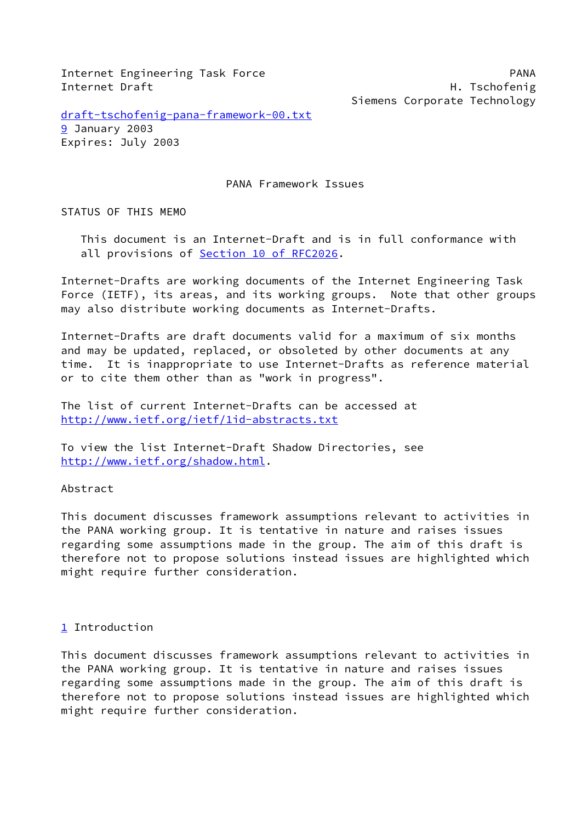Internet Engineering Task Force PANA Internet Draft **H. Tschofenig** 

Siemens Corporate Technology

[draft-tschofenig-pana-framework-00.txt](https://datatracker.ietf.org/doc/pdf/draft-tschofenig-pana-framework-00.txt)

<span id="page-0-0"></span>[9](#page-0-0) January 2003 Expires: July 2003

PANA Framework Issues

## STATUS OF THIS MEMO

 This document is an Internet-Draft and is in full conformance with all provisions of **Section [10 of RFC2026.](https://datatracker.ietf.org/doc/pdf/rfc2026#section-10)** 

Internet-Drafts are working documents of the Internet Engineering Task Force (IETF), its areas, and its working groups. Note that other groups may also distribute working documents as Internet-Drafts.

Internet-Drafts are draft documents valid for a maximum of six months and may be updated, replaced, or obsoleted by other documents at any time. It is inappropriate to use Internet-Drafts as reference material or to cite them other than as "work in progress".

The list of current Internet-Drafts can be accessed at <http://www.ietf.org/ietf/1id-abstracts.txt>

To view the list Internet-Draft Shadow Directories, see <http://www.ietf.org/shadow.html>.

Abstract

This document discusses framework assumptions relevant to activities in the PANA working group. It is tentative in nature and raises issues regarding some assumptions made in the group. The aim of this draft is therefore not to propose solutions instead issues are highlighted which might require further consideration.

# <span id="page-0-1"></span>[1](#page-0-1) Introduction

This document discusses framework assumptions relevant to activities in the PANA working group. It is tentative in nature and raises issues regarding some assumptions made in the group. The aim of this draft is therefore not to propose solutions instead issues are highlighted which might require further consideration.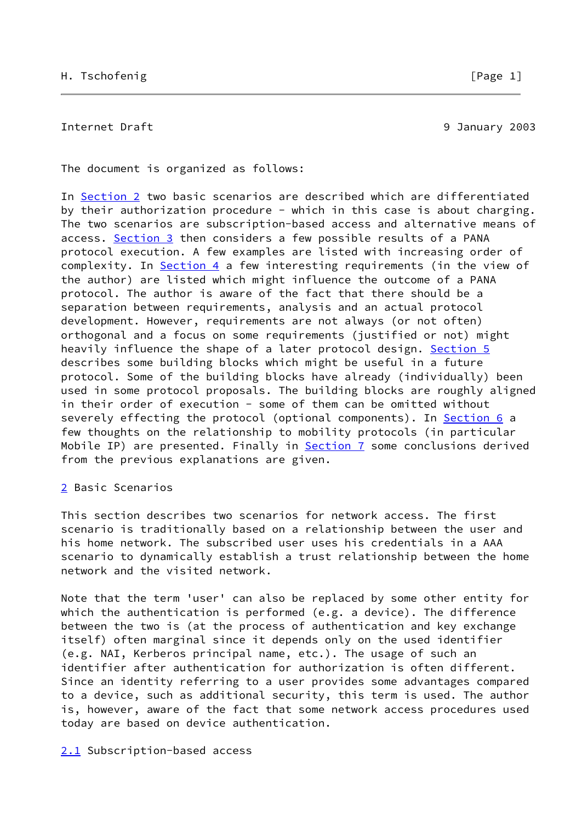Internet Draft **1988** and 2003

The document is organized as follows:

In [Section 2](#page-1-0) two basic scenarios are described which are differentiated by their authorization procedure - which in this case is about charging. The two scenarios are subscription-based access and alternative means of access. [Section 3](#page-3-0) then considers a few possible results of a PANA protocol execution. A few examples are listed with increasing order of complexity. In [Section 4](#page-6-0) a few interesting requirements (in the view of the author) are listed which might influence the outcome of a PANA protocol. The author is aware of the fact that there should be a separation between requirements, analysis and an actual protocol development. However, requirements are not always (or not often) orthogonal and a focus on some requirements (justified or not) might heavily influence the shape of a later protocol design. [Section 5](#page-9-0) describes some building blocks which might be useful in a future protocol. Some of the building blocks have already (individually) been used in some protocol proposals. The building blocks are roughly aligned in their order of execution - some of them can be omitted without severely effecting the protocol (optional components). In [Section 6](#page-11-0) a few thoughts on the relationship to mobility protocols (in particular Mobile IP) are presented. Finally in **Section 7** some conclusions derived from the previous explanations are given.

## <span id="page-1-0"></span>[2](#page-1-0) Basic Scenarios

This section describes two scenarios for network access. The first scenario is traditionally based on a relationship between the user and his home network. The subscribed user uses his credentials in a AAA scenario to dynamically establish a trust relationship between the home network and the visited network.

Note that the term 'user' can also be replaced by some other entity for which the authentication is performed (e.g. a device). The difference between the two is (at the process of authentication and key exchange itself) often marginal since it depends only on the used identifier (e.g. NAI, Kerberos principal name, etc.). The usage of such an identifier after authentication for authorization is often different. Since an identity referring to a user provides some advantages compared to a device, such as additional security, this term is used. The author is, however, aware of the fact that some network access procedures used today are based on device authentication.

## <span id="page-1-1"></span>[2.1](#page-1-1) Subscription-based access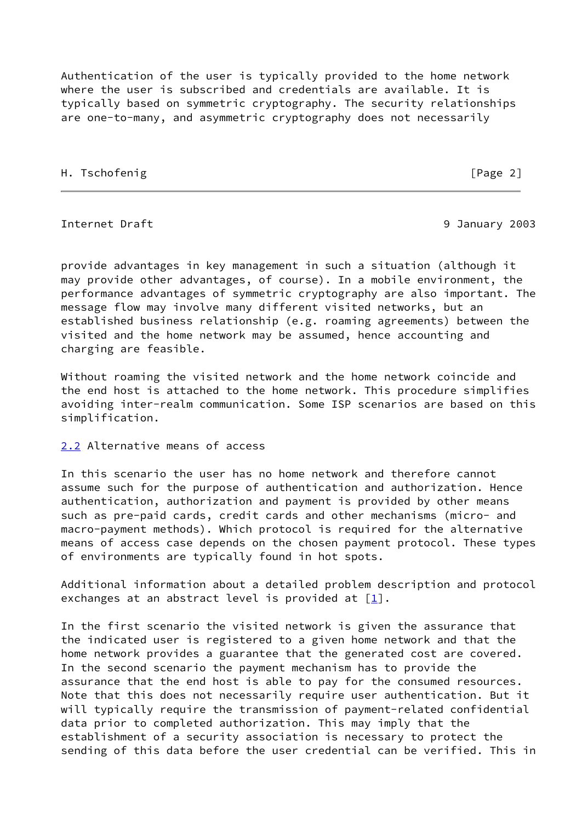Authentication of the user is typically provided to the home network where the user is subscribed and credentials are available. It is typically based on symmetric cryptography. The security relationships are one-to-many, and asymmetric cryptography does not necessarily

H. Tschofenig and the set of the set of the set of the set of the set of the set of the set of the set of the set of the set of the set of the set of the set of the set of the set of the set of the set of the set of the se

Internet Draft 9 January 2003

provide advantages in key management in such a situation (although it may provide other advantages, of course). In a mobile environment, the performance advantages of symmetric cryptography are also important. The message flow may involve many different visited networks, but an established business relationship (e.g. roaming agreements) between the visited and the home network may be assumed, hence accounting and charging are feasible.

Without roaming the visited network and the home network coincide and the end host is attached to the home network. This procedure simplifies avoiding inter-realm communication. Some ISP scenarios are based on this simplification.

<span id="page-2-0"></span>[2.2](#page-2-0) Alternative means of access

In this scenario the user has no home network and therefore cannot assume such for the purpose of authentication and authorization. Hence authentication, authorization and payment is provided by other means such as pre-paid cards, credit cards and other mechanisms (micro- and macro-payment methods). Which protocol is required for the alternative means of access case depends on the chosen payment protocol. These types of environments are typically found in hot spots.

Additional information about a detailed problem description and protocol exchanges at an abstract level is provided at  $[1]$  $[1]$ .

In the first scenario the visited network is given the assurance that the indicated user is registered to a given home network and that the home network provides a guarantee that the generated cost are covered. In the second scenario the payment mechanism has to provide the assurance that the end host is able to pay for the consumed resources. Note that this does not necessarily require user authentication. But it will typically require the transmission of payment-related confidential data prior to completed authorization. This may imply that the establishment of a security association is necessary to protect the sending of this data before the user credential can be verified. This in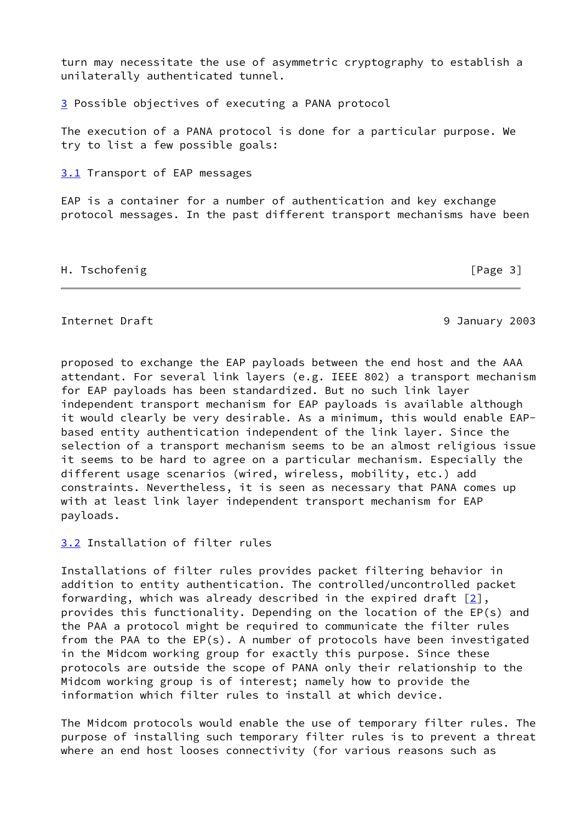turn may necessitate the use of asymmetric cryptography to establish a unilaterally authenticated tunnel.

<span id="page-3-0"></span>[3](#page-3-0) Possible objectives of executing a PANA protocol

The execution of a PANA protocol is done for a particular purpose. We try to list a few possible goals:

<span id="page-3-1"></span>[3.1](#page-3-1) Transport of EAP messages

EAP is a container for a number of authentication and key exchange protocol messages. In the past different transport mechanisms have been

H. Tschofenig [Page 3]

Internet Draft 9 January 2003

proposed to exchange the EAP payloads between the end host and the AAA attendant. For several link layers (e.g. IEEE 802) a transport mechanism for EAP payloads has been standardized. But no such link layer independent transport mechanism for EAP payloads is available although it would clearly be very desirable. As a minimum, this would enable EAPbased entity authentication independent of the link layer. Since the selection of a transport mechanism seems to be an almost religious issue it seems to be hard to agree on a particular mechanism. Especially the different usage scenarios (wired, wireless, mobility, etc.) add constraints. Nevertheless, it is seen as necessary that PANA comes up with at least link layer independent transport mechanism for EAP payloads.

<span id="page-3-2"></span>[3.2](#page-3-2) Installation of filter rules

Installations of filter rules provides packet filtering behavior in addition to entity authentication. The controlled/uncontrolled packet forwarding, which was already described in the expired draft  $[2]$  $[2]$ , provides this functionality. Depending on the location of the EP(s) and the PAA a protocol might be required to communicate the filter rules from the PAA to the EP(s). A number of protocols have been investigated in the Midcom working group for exactly this purpose. Since these protocols are outside the scope of PANA only their relationship to the Midcom working group is of interest; namely how to provide the information which filter rules to install at which device.

The Midcom protocols would enable the use of temporary filter rules. The purpose of installing such temporary filter rules is to prevent a threat where an end host looses connectivity (for various reasons such as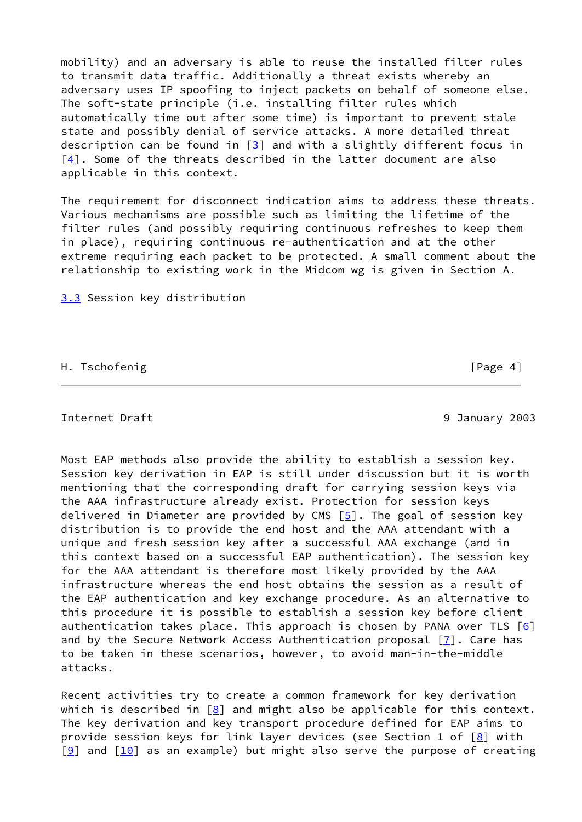mobility) and an adversary is able to reuse the installed filter rules to transmit data traffic. Additionally a threat exists whereby an adversary uses IP spoofing to inject packets on behalf of someone else. The soft-state principle (i.e. installing filter rules which automatically time out after some time) is important to prevent stale state and possibly denial of service attacks. A more detailed threat description can be found in [\[3\]](#page-16-2) and with a slightly different focus in [\[4\]](#page-16-3). Some of the threats described in the latter document are also applicable in this context.

The requirement for disconnect indication aims to address these threats. Various mechanisms are possible such as limiting the lifetime of the filter rules (and possibly requiring continuous refreshes to keep them in place), requiring continuous re-authentication and at the other extreme requiring each packet to be protected. A small comment about the relationship to existing work in the Midcom wg is given in Section A.

<span id="page-4-0"></span>[3.3](#page-4-0) Session key distribution

H. Tschofenig and the set of the set of the set of the set of the set of the set of the set of the set of the set of the set of the set of the set of the set of the set of the set of the set of the set of the set of the se

Internet Draft 9 January 2003

Most EAP methods also provide the ability to establish a session key. Session key derivation in EAP is still under discussion but it is worth mentioning that the corresponding draft for carrying session keys via the AAA infrastructure already exist. Protection for session keys delivered in Diameter are provided by CMS  $[5]$  $[5]$ . The goal of session key distribution is to provide the end host and the AAA attendant with a unique and fresh session key after a successful AAA exchange (and in this context based on a successful EAP authentication). The session key for the AAA attendant is therefore most likely provided by the AAA infrastructure whereas the end host obtains the session as a result of the EAP authentication and key exchange procedure. As an alternative to this procedure it is possible to establish a session key before client authentication takes place. This approach is chosen by PANA over TLS  $[6]$  $[6]$ and by the Secure Network Access Authentication proposal  $[7]$  $[7]$ . Care has to be taken in these scenarios, however, to avoid man-in-the-middle attacks.

Recent activities try to create a common framework for key derivation which is described in  $[8]$  $[8]$  and might also be applicable for this context. The key derivation and key transport procedure defined for EAP aims to provide session keys for link layer devices (see Section 1 of  $[8]$  $[8]$  with  $[9]$  and  $[10]$  as an example) but might also serve the purpose of creating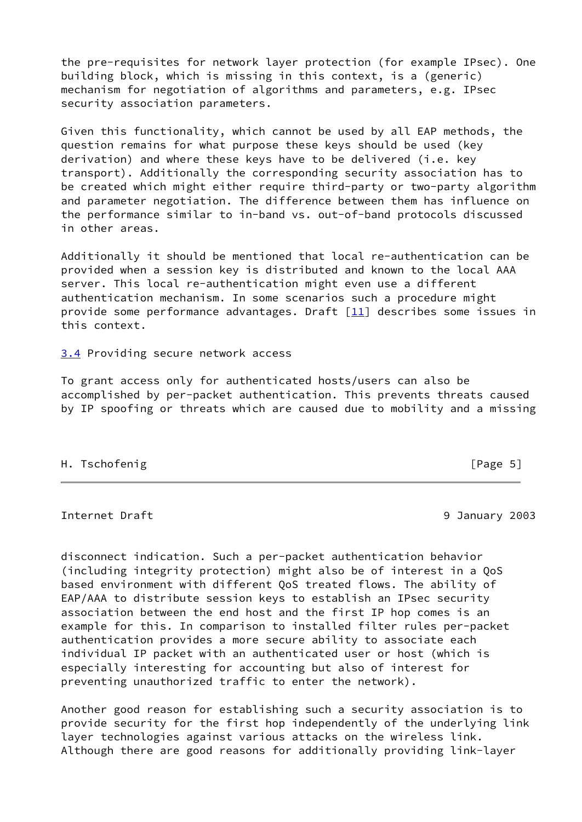the pre-requisites for network layer protection (for example IPsec). One building block, which is missing in this context, is a (generic) mechanism for negotiation of algorithms and parameters, e.g. IPsec security association parameters.

Given this functionality, which cannot be used by all EAP methods, the question remains for what purpose these keys should be used (key derivation) and where these keys have to be delivered (i.e. key transport). Additionally the corresponding security association has to be created which might either require third-party or two-party algorithm and parameter negotiation. The difference between them has influence on the performance similar to in-band vs. out-of-band protocols discussed in other areas.

Additionally it should be mentioned that local re-authentication can be provided when a session key is distributed and known to the local AAA server. This local re-authentication might even use a different authentication mechanism. In some scenarios such a procedure might provide some performance advantages. Draft [\[11\]](#page-17-1) describes some issues in this context.

<span id="page-5-0"></span>[3.4](#page-5-0) Providing secure network access

To grant access only for authenticated hosts/users can also be accomplished by per-packet authentication. This prevents threats caused by IP spoofing or threats which are caused due to mobility and a missing

## H. Tschofenig **Figure 1** and the set of the set of the set of the set of the set of the set of the set of the set of the set of the set of the set of the set of the set of the set of the set of the set of the set of the se

Internet Draft **1988** and 1999 and 1999 and 1999 and 1999 and 1999 and 1999 and 1999 and 1999 and 1999 and 1999 and 1999 and 1999 and 1999 and 1999 and 1999 and 1999 and 1999 and 1999 and 1999 and 1999 and 1999 and 1999 an

disconnect indication. Such a per-packet authentication behavior (including integrity protection) might also be of interest in a QoS based environment with different QoS treated flows. The ability of EAP/AAA to distribute session keys to establish an IPsec security association between the end host and the first IP hop comes is an example for this. In comparison to installed filter rules per-packet authentication provides a more secure ability to associate each individual IP packet with an authenticated user or host (which is especially interesting for accounting but also of interest for preventing unauthorized traffic to enter the network).

Another good reason for establishing such a security association is to provide security for the first hop independently of the underlying link layer technologies against various attacks on the wireless link. Although there are good reasons for additionally providing link-layer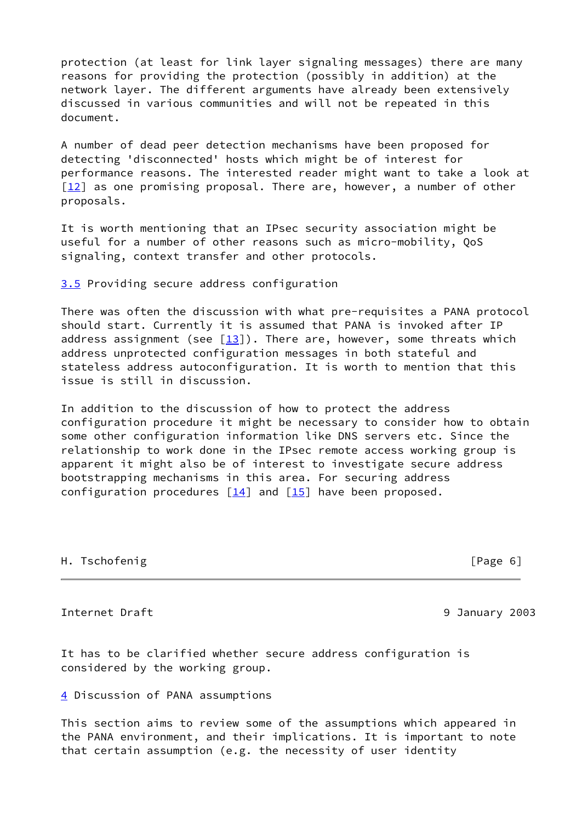protection (at least for link layer signaling messages) there are many reasons for providing the protection (possibly in addition) at the network layer. The different arguments have already been extensively discussed in various communities and will not be repeated in this document.

A number of dead peer detection mechanisms have been proposed for detecting 'disconnected' hosts which might be of interest for performance reasons. The interested reader might want to take a look at  $\lceil 12 \rceil$  as one promising proposal. There are, however, a number of other proposals.

It is worth mentioning that an IPsec security association might be useful for a number of other reasons such as micro-mobility, QoS signaling, context transfer and other protocols.

#### <span id="page-6-1"></span>[3.5](#page-6-1) Providing secure address configuration

There was often the discussion with what pre-requisites a PANA protocol should start. Currently it is assumed that PANA is invoked after IP address assignment (see  $[13]$ ). There are, however, some threats which address unprotected configuration messages in both stateful and stateless address autoconfiguration. It is worth to mention that this issue is still in discussion.

In addition to the discussion of how to protect the address configuration procedure it might be necessary to consider how to obtain some other configuration information like DNS servers etc. Since the relationship to work done in the IPsec remote access working group is apparent it might also be of interest to investigate secure address bootstrapping mechanisms in this area. For securing address configuration procedures  $\lceil 14 \rceil$  and  $\lceil 15 \rceil$  have been proposed.

#### H. Tschofenig [Page 6]

Internet Draft **1988** and 2003

It has to be clarified whether secure address configuration is considered by the working group.

#### <span id="page-6-0"></span>[4](#page-6-0) Discussion of PANA assumptions

This section aims to review some of the assumptions which appeared in the PANA environment, and their implications. It is important to note that certain assumption (e.g. the necessity of user identity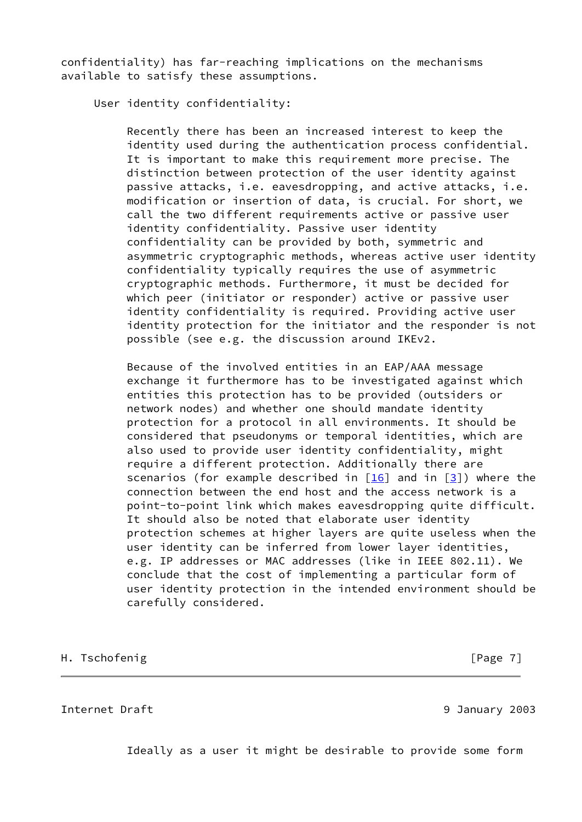confidentiality) has far-reaching implications on the mechanisms available to satisfy these assumptions.

User identity confidentiality:

 Recently there has been an increased interest to keep the identity used during the authentication process confidential. It is important to make this requirement more precise. The distinction between protection of the user identity against passive attacks, i.e. eavesdropping, and active attacks, i.e. modification or insertion of data, is crucial. For short, we call the two different requirements active or passive user identity confidentiality. Passive user identity confidentiality can be provided by both, symmetric and asymmetric cryptographic methods, whereas active user identity confidentiality typically requires the use of asymmetric cryptographic methods. Furthermore, it must be decided for which peer (initiator or responder) active or passive user identity confidentiality is required. Providing active user identity protection for the initiator and the responder is not possible (see e.g. the discussion around IKEv2.

 Because of the involved entities in an EAP/AAA message exchange it furthermore has to be investigated against which entities this protection has to be provided (outsiders or network nodes) and whether one should mandate identity protection for a protocol in all environments. It should be considered that pseudonyms or temporal identities, which are also used to provide user identity confidentiality, might require a different protection. Additionally there are scenarios (for example described in  $[16]$  $[16]$  and in  $[3]$  $[3]$ ) where the connection between the end host and the access network is a point-to-point link which makes eavesdropping quite difficult. It should also be noted that elaborate user identity protection schemes at higher layers are quite useless when the user identity can be inferred from lower layer identities, e.g. IP addresses or MAC addresses (like in IEEE 802.11). We conclude that the cost of implementing a particular form of user identity protection in the intended environment should be carefully considered.

## H. Tschofenig **Example 2018** [Page 7]

### Internet Draft **1988** and 2003

Ideally as a user it might be desirable to provide some form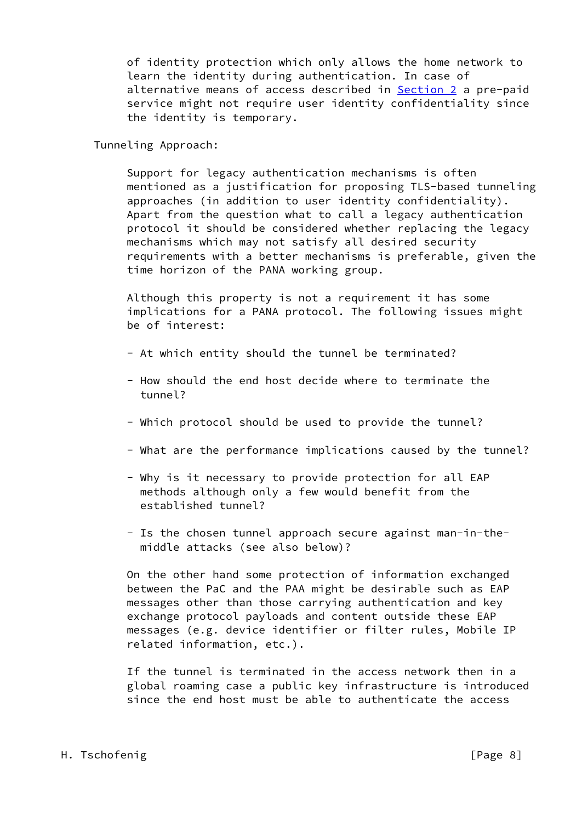of identity protection which only allows the home network to learn the identity during authentication. In case of alternative means of access described in [Section 2](#page-1-0) a pre-paid service might not require user identity confidentiality since the identity is temporary.

# Tunneling Approach:

 Support for legacy authentication mechanisms is often mentioned as a justification for proposing TLS-based tunneling approaches (in addition to user identity confidentiality). Apart from the question what to call a legacy authentication protocol it should be considered whether replacing the legacy mechanisms which may not satisfy all desired security requirements with a better mechanisms is preferable, given the time horizon of the PANA working group.

 Although this property is not a requirement it has some implications for a PANA protocol. The following issues might be of interest:

- At which entity should the tunnel be terminated?
- How should the end host decide where to terminate the tunnel?
- Which protocol should be used to provide the tunnel?
- What are the performance implications caused by the tunnel?
- Why is it necessary to provide protection for all EAP methods although only a few would benefit from the established tunnel?
- Is the chosen tunnel approach secure against man-in-the middle attacks (see also below)?

 On the other hand some protection of information exchanged between the PaC and the PAA might be desirable such as EAP messages other than those carrying authentication and key exchange protocol payloads and content outside these EAP messages (e.g. device identifier or filter rules, Mobile IP related information, etc.).

 If the tunnel is terminated in the access network then in a global roaming case a public key infrastructure is introduced since the end host must be able to authenticate the access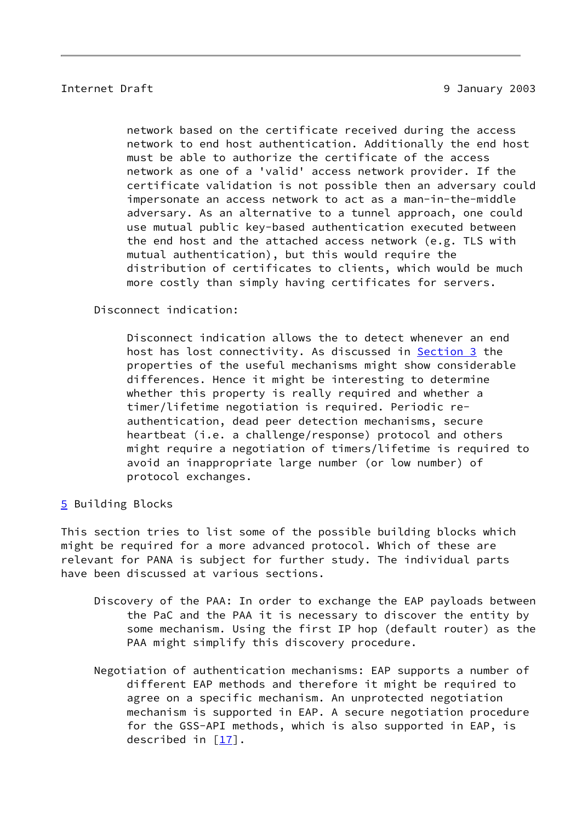# Internet Draft 9 January 2003

 network based on the certificate received during the access network to end host authentication. Additionally the end host must be able to authorize the certificate of the access network as one of a 'valid' access network provider. If the certificate validation is not possible then an adversary could impersonate an access network to act as a man-in-the-middle adversary. As an alternative to a tunnel approach, one could use mutual public key-based authentication executed between the end host and the attached access network (e.g. TLS with mutual authentication), but this would require the distribution of certificates to clients, which would be much more costly than simply having certificates for servers.

Disconnect indication:

 Disconnect indication allows the to detect whenever an end host has lost connectivity. As discussed in [Section 3](#page-3-0) the properties of the useful mechanisms might show considerable differences. Hence it might be interesting to determine whether this property is really required and whether a timer/lifetime negotiation is required. Periodic re authentication, dead peer detection mechanisms, secure heartbeat (i.e. a challenge/response) protocol and others might require a negotiation of timers/lifetime is required to avoid an inappropriate large number (or low number) of protocol exchanges.

<span id="page-9-0"></span>[5](#page-9-0) Building Blocks

This section tries to list some of the possible building blocks which might be required for a more advanced protocol. Which of these are relevant for PANA is subject for further study. The individual parts have been discussed at various sections.

- Discovery of the PAA: In order to exchange the EAP payloads between the PaC and the PAA it is necessary to discover the entity by some mechanism. Using the first IP hop (default router) as the PAA might simplify this discovery procedure.
- Negotiation of authentication mechanisms: EAP supports a number of different EAP methods and therefore it might be required to agree on a specific mechanism. An unprotected negotiation mechanism is supported in EAP. A secure negotiation procedure for the GSS-API methods, which is also supported in EAP, is described in [\[17\]](#page-17-7).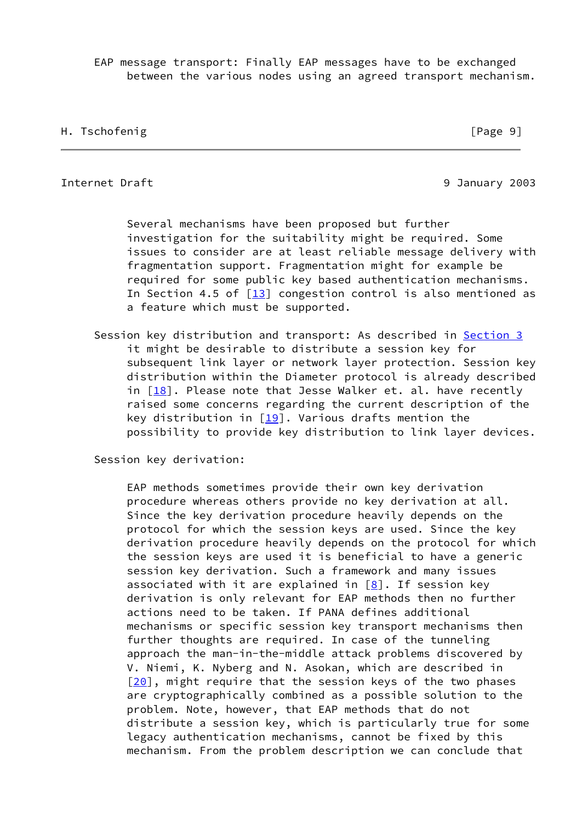EAP message transport: Finally EAP messages have to be exchanged between the various nodes using an agreed transport mechanism.

## H. Tschofenig **Figure 1** and the set of the set of the set of the set of the set of the set of the set of the set of the set of the set of the set of the set of the set of the set of the set of the set of the set of the se

Internet Draft 9 January 2003

 Several mechanisms have been proposed but further investigation for the suitability might be required. Some issues to consider are at least reliable message delivery with fragmentation support. Fragmentation might for example be required for some public key based authentication mechanisms. In Section 4.5 of  $[13]$  congestion control is also mentioned as a feature which must be supported.

 Session key distribution and transport: As described in [Section 3](#page-3-0) it might be desirable to distribute a session key for subsequent link layer or network layer protection. Session key distribution within the Diameter protocol is already described in [[18\]](#page-17-8). Please note that Jesse Walker et. al. have recently raised some concerns regarding the current description of the key distribution in [[19\]](#page-17-9). Various drafts mention the possibility to provide key distribution to link layer devices.

Session key derivation:

 EAP methods sometimes provide their own key derivation procedure whereas others provide no key derivation at all. Since the key derivation procedure heavily depends on the protocol for which the session keys are used. Since the key derivation procedure heavily depends on the protocol for which the session keys are used it is beneficial to have a generic session key derivation. Such a framework and many issues associated with it are explained in  $[8]$  $[8]$ . If session key derivation is only relevant for EAP methods then no further actions need to be taken. If PANA defines additional mechanisms or specific session key transport mechanisms then further thoughts are required. In case of the tunneling approach the man-in-the-middle attack problems discovered by V. Niemi, K. Nyberg and N. Asokan, which are described in [\[20](#page-17-10)], might require that the session keys of the two phases are cryptographically combined as a possible solution to the problem. Note, however, that EAP methods that do not distribute a session key, which is particularly true for some legacy authentication mechanisms, cannot be fixed by this mechanism. From the problem description we can conclude that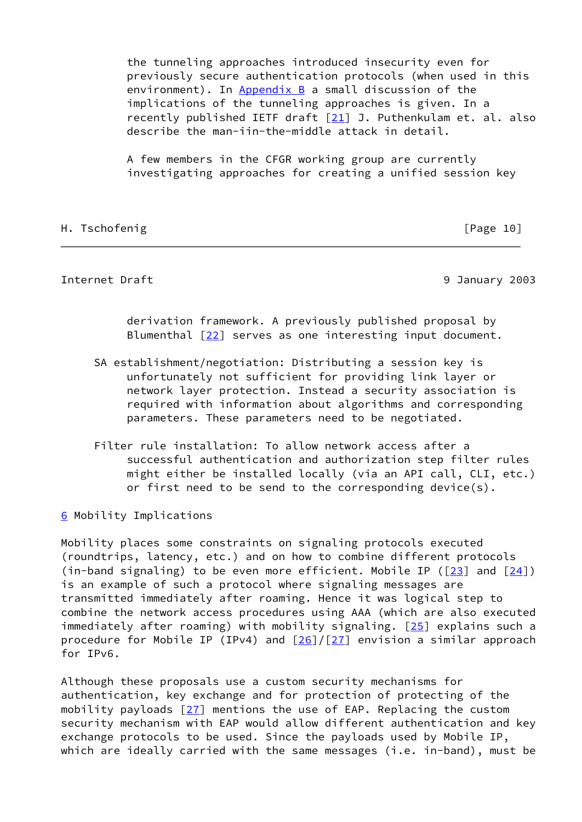the tunneling approaches introduced insecurity even for previously secure authentication protocols (when used in this environment). In Appendix B a small discussion of the implications of the tunneling approaches is given. In a recently published IETF draft [\[21\]](#page-17-11) J. Puthenkulam et. al. also describe the man-iin-the-middle attack in detail.

 A few members in the CFGR working group are currently investigating approaches for creating a unified session key

H. Tschofenig **Example 2018** [Page 10]

Internet Draft **1988** and 2003

 derivation framework. A previously published proposal by Blumenthal [[22\]](#page-18-0) serves as one interesting input document.

- SA establishment/negotiation: Distributing a session key is unfortunately not sufficient for providing link layer or network layer protection. Instead a security association is required with information about algorithms and corresponding parameters. These parameters need to be negotiated.
- Filter rule installation: To allow network access after a successful authentication and authorization step filter rules might either be installed locally (via an API call, CLI, etc.) or first need to be send to the corresponding device(s).

<span id="page-11-0"></span>[6](#page-11-0) Mobility Implications

Mobility places some constraints on signaling protocols executed (roundtrips, latency, etc.) and on how to combine different protocols (in-band signaling) to be even more efficient. Mobile IP ( $[23]$  $[23]$  and  $[24]$ ) is an example of such a protocol where signaling messages are transmitted immediately after roaming. Hence it was logical step to combine the network access procedures using AAA (which are also executed immediately after roaming) with mobility signaling. [\[25\]](#page-18-3) explains such a procedure for Mobile IP (IPv4) and  $[26]/[27]$  $[26]/[27]$  $[26]/[27]$  envision a similar approach for IPv6.

Although these proposals use a custom security mechanisms for authentication, key exchange and for protection of protecting of the mobility payloads  $[27]$  $[27]$  mentions the use of EAP. Replacing the custom security mechanism with EAP would allow different authentication and key exchange protocols to be used. Since the payloads used by Mobile IP, which are ideally carried with the same messages (i.e. in-band), must be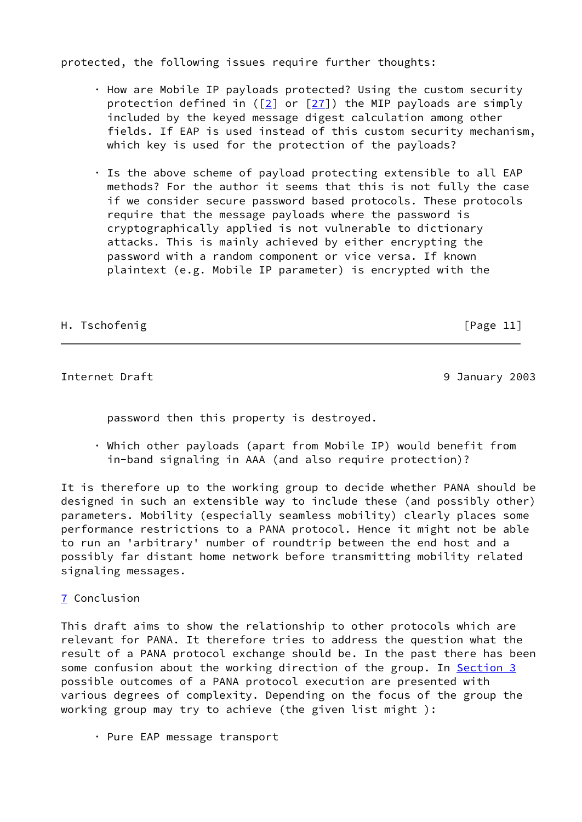protected, the following issues require further thoughts:

- · How are Mobile IP payloads protected? Using the custom security protection defined in ( $[2]$  $[2]$  or  $[27]$  $[27]$ ) the MIP payloads are simply included by the keyed message digest calculation among other fields. If EAP is used instead of this custom security mechanism, which key is used for the protection of the payloads?
- · Is the above scheme of payload protecting extensible to all EAP methods? For the author it seems that this is not fully the case if we consider secure password based protocols. These protocols require that the message payloads where the password is cryptographically applied is not vulnerable to dictionary attacks. This is mainly achieved by either encrypting the password with a random component or vice versa. If known plaintext (e.g. Mobile IP parameter) is encrypted with the

# H. Tschofenig and the set of the set of the set of the set of the set of the set of the set of the set of the set of the set of the set of the set of the set of the set of the set of the set of the set of the set of the se

Internet Draft **1988** and 1999 and 1999 and 1999 and 1999 and 1999 and 1999 and 1999 and 1999 and 1999 and 1999 and 1999 and 1999 and 1999 and 1999 and 1999 and 1999 and 1999 and 1999 and 1999 and 1999 and 1999 and 1999 an

password then this property is destroyed.

 · Which other payloads (apart from Mobile IP) would benefit from in-band signaling in AAA (and also require protection)?

It is therefore up to the working group to decide whether PANA should be designed in such an extensible way to include these (and possibly other) parameters. Mobility (especially seamless mobility) clearly places some performance restrictions to a PANA protocol. Hence it might not be able to run an 'arbitrary' number of roundtrip between the end host and a possibly far distant home network before transmitting mobility related signaling messages.

## <span id="page-12-0"></span>[7](#page-12-0) Conclusion

This draft aims to show the relationship to other protocols which are relevant for PANA. It therefore tries to address the question what the result of a PANA protocol exchange should be. In the past there has been some confusion about the working direction of the group. In [Section 3](#page-3-0) possible outcomes of a PANA protocol execution are presented with various degrees of complexity. Depending on the focus of the group the working group may try to achieve (the given list might ):

· Pure EAP message transport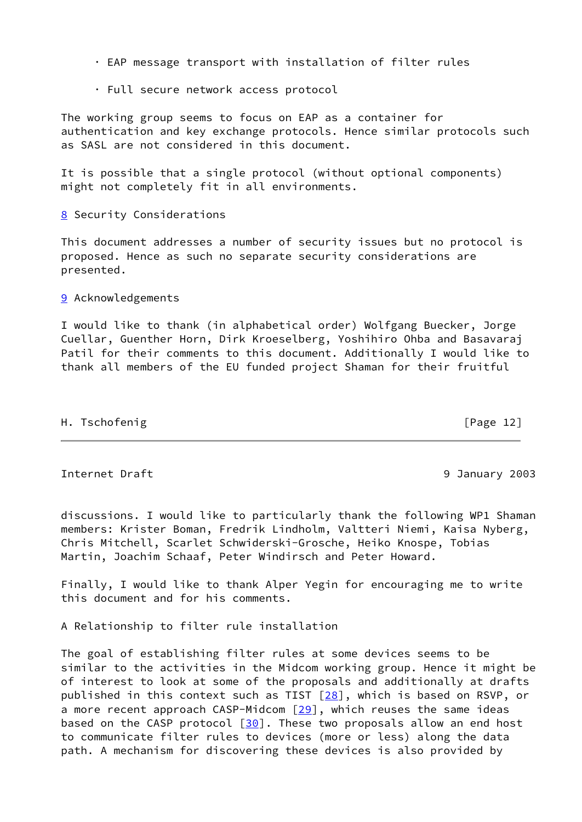- · EAP message transport with installation of filter rules
- · Full secure network access protocol

The working group seems to focus on EAP as a container for authentication and key exchange protocols. Hence similar protocols such as SASL are not considered in this document.

It is possible that a single protocol (without optional components) might not completely fit in all environments.

<span id="page-13-0"></span>[8](#page-13-0) Security Considerations

This document addresses a number of security issues but no protocol is proposed. Hence as such no separate security considerations are presented.

#### [9](#page-0-0) Acknowledgements

I would like to thank (in alphabetical order) Wolfgang Buecker, Jorge Cuellar, Guenther Horn, Dirk Kroeselberg, Yoshihiro Ohba and Basavaraj Patil for their comments to this document. Additionally I would like to thank all members of the EU funded project Shaman for their fruitful

|  | H. Tschofenig | [Page 12] |  |
|--|---------------|-----------|--|
|--|---------------|-----------|--|

Internet Draft **1988** and 2003

discussions. I would like to particularly thank the following WP1 Shaman members: Krister Boman, Fredrik Lindholm, Valtteri Niemi, Kaisa Nyberg, Chris Mitchell, Scarlet Schwiderski-Grosche, Heiko Knospe, Tobias Martin, Joachim Schaaf, Peter Windirsch and Peter Howard.

Finally, I would like to thank Alper Yegin for encouraging me to write this document and for his comments.

A Relationship to filter rule installation

The goal of establishing filter rules at some devices seems to be similar to the activities in the Midcom working group. Hence it might be of interest to look at some of the proposals and additionally at drafts published in this context such as TIST  $[28]$ , which is based on RSVP, or a more recent approach CASP-Midcom  $[29]$ , which reuses the same ideas based on the CASP protocol  $[30]$ . These two proposals allow an end host to communicate filter rules to devices (more or less) along the data path. A mechanism for discovering these devices is also provided by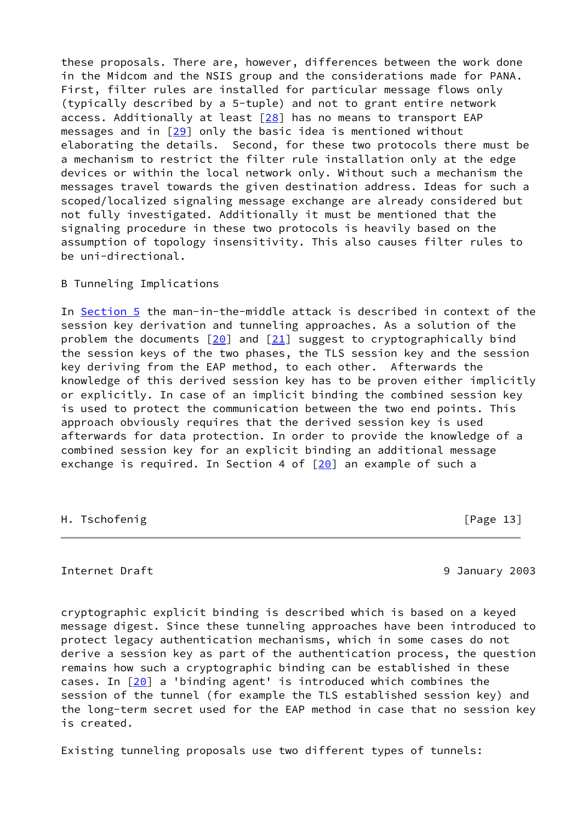these proposals. There are, however, differences between the work done in the Midcom and the NSIS group and the considerations made for PANA. First, filter rules are installed for particular message flows only (typically described by a 5-tuple) and not to grant entire network access. Additionally at least [[28\]](#page-18-6) has no means to transport EAP messages and in  $[29]$  only the basic idea is mentioned without elaborating the details. Second, for these two protocols there must be a mechanism to restrict the filter rule installation only at the edge devices or within the local network only. Without such a mechanism the messages travel towards the given destination address. Ideas for such a scoped/localized signaling message exchange are already considered but not fully investigated. Additionally it must be mentioned that the signaling procedure in these two protocols is heavily based on the assumption of topology insensitivity. This also causes filter rules to be uni-directional.

# B Tunneling Implications

In [Section 5](#page-9-0) the man-in-the-middle attack is described in context of the session key derivation and tunneling approaches. As a solution of the problem the documents  $[20]$  $[20]$  and  $[21]$  suggest to cryptographically bind the session keys of the two phases, the TLS session key and the session key deriving from the EAP method, to each other. Afterwards the knowledge of this derived session key has to be proven either implicitly or explicitly. In case of an implicit binding the combined session key is used to protect the communication between the two end points. This approach obviously requires that the derived session key is used afterwards for data protection. In order to provide the knowledge of a combined session key for an explicit binding an additional message exchange is required. In Section 4 of  $[20]$  $[20]$  an example of such a

#### H. Tschofenig and the contract of the contract of the contract of the contract of the contract of the contract of the contract of the contract of the contract of the contract of the contract of the contract of the contract

# Internet Draft **1988** and 2003

cryptographic explicit binding is described which is based on a keyed message digest. Since these tunneling approaches have been introduced to protect legacy authentication mechanisms, which in some cases do not derive a session key as part of the authentication process, the question remains how such a cryptographic binding can be established in these cases. In [\[20](#page-17-10)] a 'binding agent' is introduced which combines the session of the tunnel (for example the TLS established session key) and the long-term secret used for the EAP method in case that no session key is created.

Existing tunneling proposals use two different types of tunnels: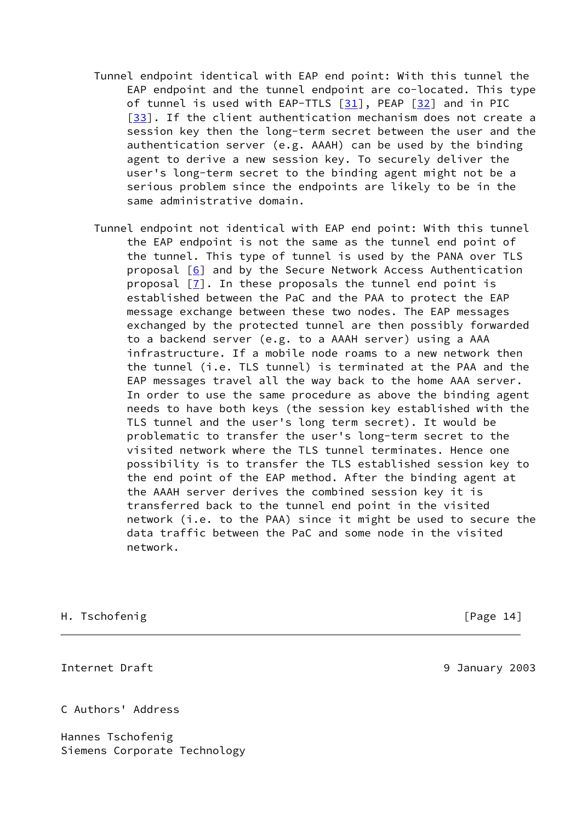- Tunnel endpoint identical with EAP end point: With this tunnel the EAP endpoint and the tunnel endpoint are co-located. This type of tunnel is used with EAP-TTLS  $[31]$  $[31]$ , PEAP  $[32]$  $[32]$  and in PIC [\[33](#page-19-0)]. If the client authentication mechanism does not create a session key then the long-term secret between the user and the authentication server (e.g. AAAH) can be used by the binding agent to derive a new session key. To securely deliver the user's long-term secret to the binding agent might not be a serious problem since the endpoints are likely to be in the same administrative domain.
- Tunnel endpoint not identical with EAP end point: With this tunnel the EAP endpoint is not the same as the tunnel end point of the tunnel. This type of tunnel is used by the PANA over TLS proposal [\[6](#page-16-5)] and by the Secure Network Access Authentication proposal [\[7](#page-16-6)]. In these proposals the tunnel end point is established between the PaC and the PAA to protect the EAP message exchange between these two nodes. The EAP messages exchanged by the protected tunnel are then possibly forwarded to a backend server (e.g. to a AAAH server) using a AAA infrastructure. If a mobile node roams to a new network then the tunnel (i.e. TLS tunnel) is terminated at the PAA and the EAP messages travel all the way back to the home AAA server. In order to use the same procedure as above the binding agent needs to have both keys (the session key established with the TLS tunnel and the user's long term secret). It would be problematic to transfer the user's long-term secret to the visited network where the TLS tunnel terminates. Hence one possibility is to transfer the TLS established session key to the end point of the EAP method. After the binding agent at the AAAH server derives the combined session key it is transferred back to the tunnel end point in the visited network (i.e. to the PAA) since it might be used to secure the data traffic between the PaC and some node in the visited network.

H. Tschofenig **Example 2018** [Page 14]

Internet Draft **1988** and 1999 and 1999 and 1999 and 1999 and 1999 and 1999 and 1999 and 1999 and 1999 and 1999 and 1999 and 1999 and 1999 and 1999 and 1999 and 1999 and 1999 and 1999 and 1999 and 1999 and 1999 and 1999 an

C Authors' Address

Hannes Tschofenig Siemens Corporate Technology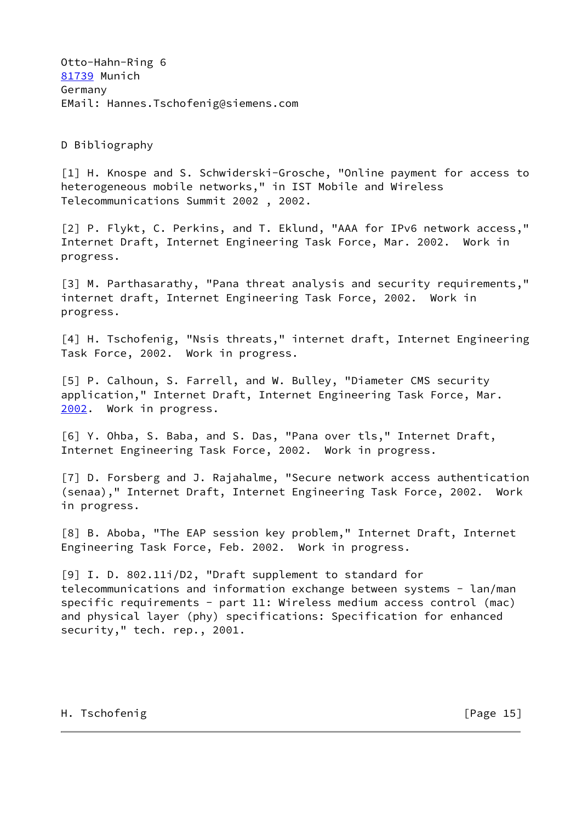<span id="page-16-9"></span>Otto-Hahn-Ring 6 [81739](#page-16-9) Munich Germany EMail: Hannes.Tschofenig@siemens.com

D Bibliography

<span id="page-16-0"></span>[1] H. Knospe and S. Schwiderski-Grosche, "Online payment for access to heterogeneous mobile networks," in IST Mobile and Wireless Telecommunications Summit 2002 , 2002.

<span id="page-16-1"></span>[2] P. Flykt, C. Perkins, and T. Eklund, "AAA for IPv6 network access," Internet Draft, Internet Engineering Task Force, Mar. 2002. Work in progress.

<span id="page-16-2"></span>[3] M. Parthasarathy, "Pana threat analysis and security requirements," internet draft, Internet Engineering Task Force, 2002. Work in progress.

<span id="page-16-3"></span>[4] H. Tschofenig, "Nsis threats," internet draft, Internet Engineering Task Force, 2002. Work in progress.

<span id="page-16-10"></span><span id="page-16-4"></span>[5] P. Calhoun, S. Farrell, and W. Bulley, "Diameter CMS security application," Internet Draft, Internet Engineering Task Force, Mar. [2002](#page-16-10). Work in progress.

<span id="page-16-5"></span>[6] Y. Ohba, S. Baba, and S. Das, "Pana over tls," Internet Draft, Internet Engineering Task Force, 2002. Work in progress.

<span id="page-16-6"></span>[7] D. Forsberg and J. Rajahalme, "Secure network access authentication (senaa)," Internet Draft, Internet Engineering Task Force, 2002. Work in progress.

<span id="page-16-7"></span>[8] B. Aboba, "The EAP session key problem," Internet Draft, Internet Engineering Task Force, Feb. 2002. Work in progress.

<span id="page-16-8"></span>[9] I. D. 802.11i/D2, "Draft supplement to standard for telecommunications and information exchange between systems - lan/man specific requirements - part 11: Wireless medium access control (mac) and physical layer (phy) specifications: Specification for enhanced security," tech. rep., 2001.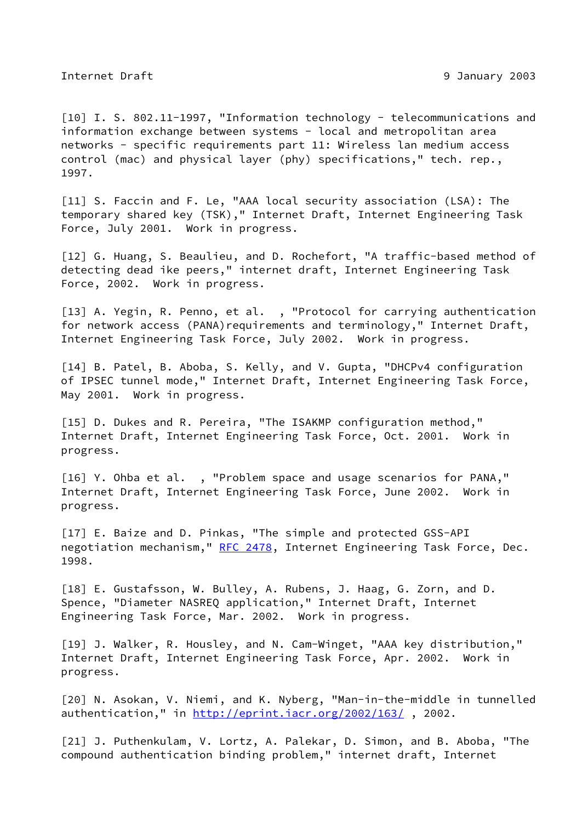Internet Draft 9 January 2003

<span id="page-17-0"></span>[10] I. S. 802.11-1997, "Information technology - telecommunications and information exchange between systems - local and metropolitan area networks - specific requirements part 11: Wireless lan medium access control (mac) and physical layer (phy) specifications," tech. rep., 1997.

<span id="page-17-1"></span>[11] S. Faccin and F. Le, "AAA local security association (LSA): The temporary shared key (TSK)," Internet Draft, Internet Engineering Task Force, July 2001. Work in progress.

<span id="page-17-2"></span>[12] G. Huang, S. Beaulieu, and D. Rochefort, "A traffic-based method of detecting dead ike peers," internet draft, Internet Engineering Task Force, 2002. Work in progress.

<span id="page-17-3"></span>[13] A. Yegin, R. Penno, et al., "Protocol for carrying authentication for network access (PANA)requirements and terminology," Internet Draft, Internet Engineering Task Force, July 2002. Work in progress.

<span id="page-17-4"></span>[14] B. Patel, B. Aboba, S. Kelly, and V. Gupta, "DHCPv4 configuration of IPSEC tunnel mode," Internet Draft, Internet Engineering Task Force, May 2001. Work in progress.

<span id="page-17-5"></span>[15] D. Dukes and R. Pereira, "The ISAKMP configuration method," Internet Draft, Internet Engineering Task Force, Oct. 2001. Work in progress.

<span id="page-17-6"></span>[16] Y. Ohba et al., "Problem space and usage scenarios for PANA," Internet Draft, Internet Engineering Task Force, June 2002. Work in progress.

<span id="page-17-7"></span>[17] E. Baize and D. Pinkas, "The simple and protected GSS-API negotiation mechanism," [RFC 2478](https://datatracker.ietf.org/doc/pdf/rfc2478), Internet Engineering Task Force, Dec. 1998.

<span id="page-17-8"></span>[18] E. Gustafsson, W. Bulley, A. Rubens, J. Haag, G. Zorn, and D. Spence, "Diameter NASREQ application," Internet Draft, Internet Engineering Task Force, Mar. 2002. Work in progress.

<span id="page-17-9"></span>[19] J. Walker, R. Housley, and N. Cam-Winget, "AAA key distribution," Internet Draft, Internet Engineering Task Force, Apr. 2002. Work in progress.

<span id="page-17-10"></span>[20] N. Asokan, V. Niemi, and K. Nyberg, "Man-in-the-middle in tunnelled authentication," in<http://eprint.iacr.org/2002/163/>, 2002.

<span id="page-17-11"></span>[21] J. Puthenkulam, V. Lortz, A. Palekar, D. Simon, and B. Aboba, "The compound authentication binding problem," internet draft, Internet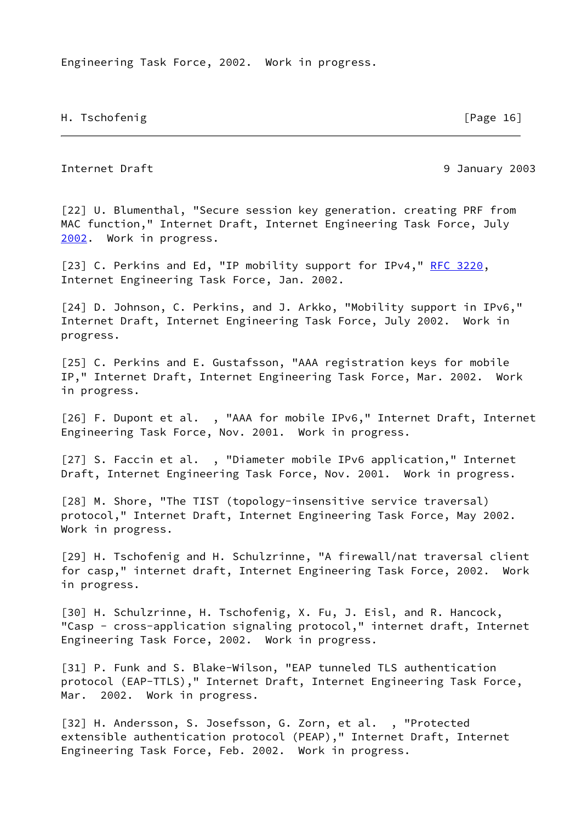Engineering Task Force, 2002. Work in progress.

### H. Tschofenig and the contract of the contract of the contract of the contract of the contract of the contract of the contract of the contract of the contract of the contract of the contract of the contract of the contract

Internet Draft 9 January 2003

<span id="page-18-0"></span>[22] U. Blumenthal, "Secure session key generation. creating PRF from MAC function," Internet Draft, Internet Engineering Task Force, July [2002](#page-16-10). Work in progress.

<span id="page-18-1"></span>[23] C. Perkins and Ed, "IP mobility support for IPv4," [RFC 3220](https://datatracker.ietf.org/doc/pdf/rfc3220), Internet Engineering Task Force, Jan. 2002.

<span id="page-18-2"></span>[24] D. Johnson, C. Perkins, and J. Arkko, "Mobility support in IPv6," Internet Draft, Internet Engineering Task Force, July 2002. Work in progress.

<span id="page-18-3"></span>[25] C. Perkins and E. Gustafsson, "AAA registration keys for mobile IP," Internet Draft, Internet Engineering Task Force, Mar. 2002. Work in progress.

<span id="page-18-4"></span>[26] F. Dupont et al. , "AAA for mobile IPv6," Internet Draft, Internet Engineering Task Force, Nov. 2001. Work in progress.

<span id="page-18-5"></span>[27] S. Faccin et al., "Diameter mobile IPv6 application," Internet Draft, Internet Engineering Task Force, Nov. 2001. Work in progress.

<span id="page-18-6"></span>[28] M. Shore, "The TIST (topology-insensitive service traversal) protocol," Internet Draft, Internet Engineering Task Force, May 2002. Work in progress.

<span id="page-18-7"></span>[29] H. Tschofenig and H. Schulzrinne, "A firewall/nat traversal client for casp," internet draft, Internet Engineering Task Force, 2002. Work in progress.

<span id="page-18-8"></span>[30] H. Schulzrinne, H. Tschofenig, X. Fu, J. Eisl, and R. Hancock, "Casp - cross-application signaling protocol," internet draft, Internet Engineering Task Force, 2002. Work in progress.

<span id="page-18-9"></span>[31] P. Funk and S. Blake-Wilson, "EAP tunneled TLS authentication protocol (EAP-TTLS)," Internet Draft, Internet Engineering Task Force, Mar. 2002. Work in progress.

<span id="page-18-10"></span>[32] H. Andersson, S. Josefsson, G. Zorn, et al. , "Protected extensible authentication protocol (PEAP)," Internet Draft, Internet Engineering Task Force, Feb. 2002. Work in progress.